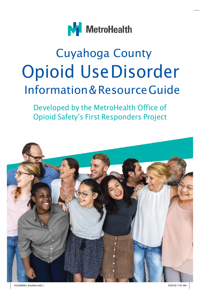

# Cuyahoga County Opioid UseDisorder Information&ResourceGuide

Developed by the MetroHealth Office of Opioid Safety's First Responders Project

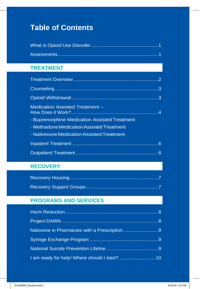#### **Table of Contents**

#### **TREATMENT**

| Medication Assisted Treatment -               |  |
|-----------------------------------------------|--|
| - Buprenorphine Medication Assisted Treatment |  |
| - Methadone Medication Assisted Treatment     |  |
| - Naltrexone Medication Assisted Treatment    |  |
|                                               |  |
|                                               |  |

#### **RECOVERY**

#### **PROGRAMS AND SERVICES**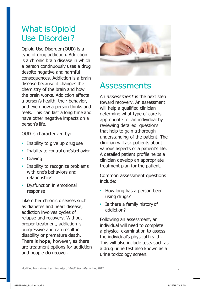### <span id="page-2-0"></span>What isOpioid Use Disorder?

Opioid Use Disorder (OUD) is a type of drug addiction. Addiction is a chronic brain disease in which a person continuously uses a drug despite negative and harmful consequences. Addiction is a brain disease because it changes the chemistry of the brain and how the brain works. Addiction affects a person's health, their behavior, and even how a person thinks and feels. This can last a long time and have other negative impacts on a person's life.

OUD is characterized by:

- **•** Inability to give up druguse
- **•** Inability to control one'sbehavior
- **•** Craving
- **•** Inability to recognize problems with one's behaviors and relationships
- **•** Dysfunction in emotional response

Like other chronic diseases such as diabetes and heart disease, addiction involves cycles of relapse and recovery. Without proper treatment, addiction is progressive and can result in disability or premature death. There is **hope**, however, as there are treatment options for addiction and people **do** recover.



### <span id="page-2-1"></span>**Assessments**

An *assessment* is the next step toward recovery. An assessment will help a qualified clinician determine what type of care is appropriate for an individual by reviewing detailed questions that help to gain athorough understanding of the patient. The clinician will ask patients about various aspects of a patient's life. A detailed patient profile helps a clinician develop an appropriate treatment plan for the patient.

Common assessment questions include:

- **•** How long has a person been using drugs?
- **•** Is there a family history of addiction?

Following an assessment, an individual will need to complete a physical examination to assess the individual's physical health. This will also include tests such as a drug urine test also known as a urine toxicology screen.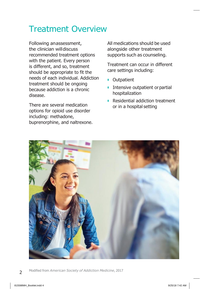### <span id="page-3-0"></span>Treatment Overview

Following anassessment, the clinician willdiscuss recommended treatment options with the patient. Every person is different, and so, treatment should be appropriate to fit the needs of each individual. Addiction treatment should be ongoing because addiction is a chronic disease.

There are several medication options for opioid use disorder including: methadone, buprenorphine, and naltrexone.

All medications should be used alongside other treatment supports such as counseling.

Treatment can occur in different care settings including:

- **•** Outpatient
- **•** Intensive outpatient or partial hospitalization
- **•** Residential addiction treatment or in a hospital setting



- 2
- Modified from *American Society of Addiction Medicine*, 2017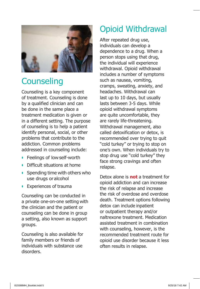

### **Counseling**

Counseling is a key component of treatment. Counseling is done by a qualified clinician and can be done in the same place a treatment medication is given or in a different setting. The purpose of counseling is to help a patient identify personal, social, or other problems that contribute to the addiction. Common problems addressed in counseling include:

- **•** Feelings of lowself-worth
- **•** Difficult situations at home
- **•** Spending time with others who use drugs oralcohol
- **•** Experiences of trauma

Counseling can be conducted in a private one-on-one setting with the clinician and the patient or counseling can be done in group a setting, also known as support groups.

<span id="page-4-0"></span>Counseling is also available for family members or friends of individuals with substance use disorders.

### Opioid Withdrawal

After repeated drug use, individuals can develop a dependence to a drug. When a person stops using that drug, the individual will experience withdrawal. Opioid withdrawal includes a number of symptoms such as nausea, vomiting, cramps, sweating, anxiety, and headaches. Withdrawal can last up to 10 days, but usually lasts between 3-5 days. While opioid withdrawal symptoms are quite uncomfortable, they are rarely life-threatening. Withdrawal management, also called detoxification or detox, is recommended over trying to quit "cold turkey" or trying to stop on one's own. When individuals try to stop drug use "cold turkey" they face strong cravings and often relapse.

Detox alone is **not** a treatment for opioid addiction and can increase the risk of relapse and increase the risk of overdose and overdose death. Treatment options following detox can include inpatient or outpatient therapy and/or naltrexone treatment. Medication assisted treatment in combination with counseling, however, is the recommended treatment route for opioid use disorder because it less often results in relapse.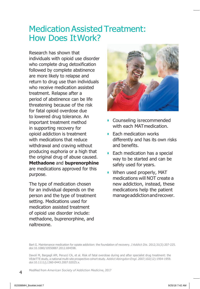### Medication Assisted Treatment: How Does ItWork?

Research has shown that individuals with opioid use disorder who complete drug detoxification followed by complete abstinence are more likely to relapse and return to drug use than individuals who receive medication assisted treatment. Relapse after a period of abstinence can be life threatening because of the risk for fatal opioid overdose due to lowered drug tolerance. An important treatment method in supporting recovery for opioid addiction is treatment with medications that reduce withdrawal and craving without producing euphoria or a high that the original drug of abuse caused. **Methadone** and **buprenorphine**  are medications approved for this purpose.

The type of medication chosen for an individual depends on the person and the type of treatment setting. Medications used for medication assisted treatment of opioid use disorder include: methadone, buprenorphine, and naltrexone.



- **•** Counseling isrecommended with each MATmedication.
- **•** Each medication works differently and has its own risks and benefits.
- **•** Each medication has a special way to be started and can be safely used for years.
- **•** When used properly, MAT medications will NOT create a new addiction, instead, these medications help the patient manageaddictionandrecover.

Modified from *American Society of Addiction Medicine*, 2017

Bart G. Maintenance medication for opiate addiction: the foundation of recovery. *J Addict Dis.* 2012;31(3):207-225. doi:10.1080/10550887.2012.694598.

Davoli M, Bargagli AM, Perucci CA, et al. Risk of fatal overdose during and after specialist drug treatment: the VEdeTTE study, a national multi-site prospective cohort study. *Addict Abingdon Engl.* 2007;102(12):1954-1959. doi:10.1111/j.1360-0443.2007.02025.x.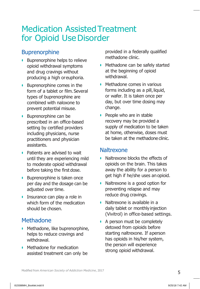### Medication AssistedTreatment for Opioid Use Disorder

#### **Buprenorphine**

- **•** Buprenorphine helps to relieve opioid withdrawal symptoms and drug cravings without producing a high oreuphoria.
- **•** Buprenorphine comes in the form of a tablet or film. Several types of buprenorphine are combined with naloxone to prevent potential misuse.
- **•** Buprenorphine can be prescribed in an office-based setting by certified providers including physicians, nurse practitioners and physician assistants.
- **•** Patients are advised to wait until they are experiencing mild to moderate opioid withdrawal before taking the first dose.
- **•** Buprenorphine is taken once per day and the dosage can be adjusted over time.
- **•** Insurance can play a role in which form of the medication should be chosen.

#### Methadone

- **•** Methadone, like buprenorphine, helps to reduce cravings and withdrawal.
- **•** Methadone for medication assisted treatment can only be

provided in a federally qualified methadone clinic.

- **•** Methadone can be safely started at the beginning of opioid withdrawal.
- **•** Methadone comes in various forms including as a pill, liquid, or wafer. It is taken once per day, but over time dosing may change.
- **•** People who are in stable recovery may be provided a supply of medication to be taken at home, otherwise, doses must be taken at the methadone clinic.

#### **Naltrexone**

- **•** Naltrexone blocks the effects of opioids on the brain. This takes away the ability for a person to get high if he/she uses an opioid.
- **•** Naltrexone is a good option for preventing relapse and may reduce drug cravings.
- **•** Naltrexone is available in a daily tablet or monthly injection (Vivitrol) in office-based settings.
- **•** A person must be completely detoxed from opioids before starting naltrexone. If aperson has opioids in his/her system, the person will experience strong opioid withdrawal.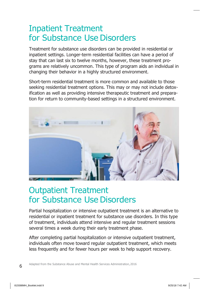### Inpatient Treatment for Substance Use Disorders

Treatment for substance use disorders can be provided in residential or inpatient settings. Longer-term residential facilities can have a period of stay that can last six to twelve months, however, these treatment programs are relatively uncommon. This type of program aids an individual in changing their behavior in a highly structured environment.

Short-term residential treatment is more common and available to those seeking residential treatment options. This may or may not include detoxification as well as providing intensive therapeutic treatment and preparation for return to community-based settings in a structured environment.



### Outpatient Treatment for Substance Use Disorders

Partial hospitalization or intensive outpatient treatment is an alternative to residential or inpatient treatment for substance use disorders. In this type of treatment, individuals attend intensive and regular treatment sessions several times a week during their early treatment phase.

After completing partial hospitalization or intensive outpatient treatment, individuals often move toward regular outpatient treatment, which meets less frequently and for fewer hours per week to help support recovery.

Adapted from the Substance Abuse and Mental Health Services Administration,2016

6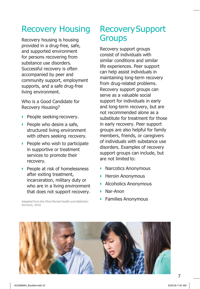### Recovery Housing

Recovery housing is housing provided in a drug-free, safe, and supported environment for persons recovering from substance use disorders. Successful recovery is often accompanied by peer and community support, employment supports, and a safe drug-free living environment.

Who is a Good Candidate for Recovery Housing?

- **•** People seeking recovery.
- **•** People who desire a safe, structured living environment with others seeking recovery.
- **•** People who wish to participate in supportive or treatment services to promote their recovery.
- **•** People at risk of homelessness after exiting treatment, incarceration, military duty or who are in a living environment that does not support recovery.

Adapted from the Ohio Mental Health and Addiction Services, 2016

### RecoverySupport **Groups**

Recovery support groups consist of individuals with similar conditions and similar life experiences. Peer support can help assist individuals in maintaining long-term recovery from drug-related problems. Recovery support groups can serve as a valuable social support for individuals in early and long-term recovery, but are not recommended alone as a substitute for treatment for those in early recovery. Peer support groups are also helpful for family members, friends, or caregivers of individuals with substance use disorders. Examples of recovery support groups can include, but are not limited to:

- **•** Narcotics Anonymous
- **•** Heroin Anonymous
- **•** Alcoholics Anonymous
- **•** Nar-Anon
- **•** Families Anonymous

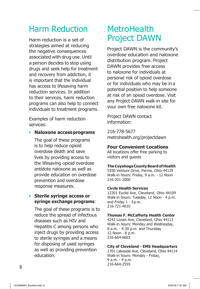### Harm Reduction

Harm reduction is a set of strategies aimed at reducing the negative consequences associated with drug use. Until a person decides to stop using drugs and seek help for treatment and recovery from addiction, it is important that the individual has access to lifesaving harm reduction services. In addition to their services, harm reduction programs can also help to connect individuals to treatment programs.

Examples of harm reduction services:

#### **• Naloxone accessprograms**

The goal of these programs is to help reduce opioid overdose death and save lives by providing access to the lifesaving opioid overdose antidote naloxone as well as provide education on overdose prevention and overdose response measures.

#### **• Sterile syringe access or syringe exchange programs**:

The goal of these programs is to reduce the spread of infectious diseases such as HIV and Hepatitis C among persons who inject drugs by providing access to sterile syringes and a means for disposing of used syringes as well as providing prevention education.

### **MetroHealth** Project DAWN

Project DAWN is the community's overdose education and naloxone distribution program. Project DAWN provides free access to naloxone for individuals at personal risk of opioid overdose or for individuals who may be in a potential position to help someone at risk of an opioid overdose. Visit any Project DAWN walk-in site for your own free naloxone kit.

Project DAWN contact information:

216-778-5677 metrohealth.org/projectdawn

#### **Four Convenient Locations**

All locations offer free parking to visitors and guests

#### **TheCuyahogaCountyBoardofHealth**

5550 Venture Drive, Parma, Ohio 44129 Walk-in hours: Friday, 9 a.m. - 12 Noon 216-201-2000

#### **Circle Health Services**

12201 Euclid Ave, Cleveland, Ohio 44109 Walk-in hours: Tuesday, 12 Noon - 4 p.m. and Friday 1 - 5p.m. 216-721-4010

#### **Thomas F. McCafferty Health Center**

4242 Lorain Ave, Cleveland, Ohio 44113 Walk-in hours: Monday and Wednesday, 8 a.m. - 4:30 p.m. and Thursday 12 Noon - 8 p.m. 216-664-6603

#### **City of Cleveland - EMS Headquarters**

1701 Lakeside Ave, Cleveland, Ohio 44114 Walk-in hours: Monday - Friday, 9 a.m. - 4 p.m. 216-664-2555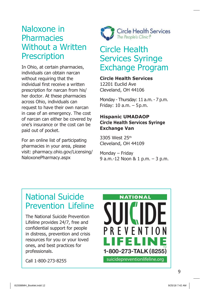### Naloxone in **Pharmacies** Without a Written **Prescription**

In Ohio, at certain pharmacies, individuals can obtain narcan without requiring that the individual first receive a written prescription for narcan from his/ her doctor. At these pharmacies across Ohio, individuals can request to have their own narcan in case of an emergency. The cost of narcan can either be covered by one's insurance or the cost can be paid out of pocket.

For an online list of participating pharmacies in your area, please visit: pharmacy.ohio.gov/Licensing/ NaloxonePharmacy.aspx



### Circle Health Services Syringe Exchange Program

#### **Circle Health Services**

12201 Euclid Ave Cleveland, OH 44106

Monday - Thursday: 11 a.m. - 7 p.m. Friday: 10 a.m. – 5p.m.

#### **Hispanic UMADAOP Circle Health Services Syringe Exchange Van**

3305 West 25th Cleveland, OH 44109

Monday – Friday 9 a.m.-12 Noon & 1 p.m. – 3 p.m.

### National Suicide Prevention Lifeline

The National Suicide Prevention Lifeline provides 24/7, free and confidential support for people in distress, prevention and crisis resources for you or your loved ones, and best practices for professionals.

Call 1-800-273-8255